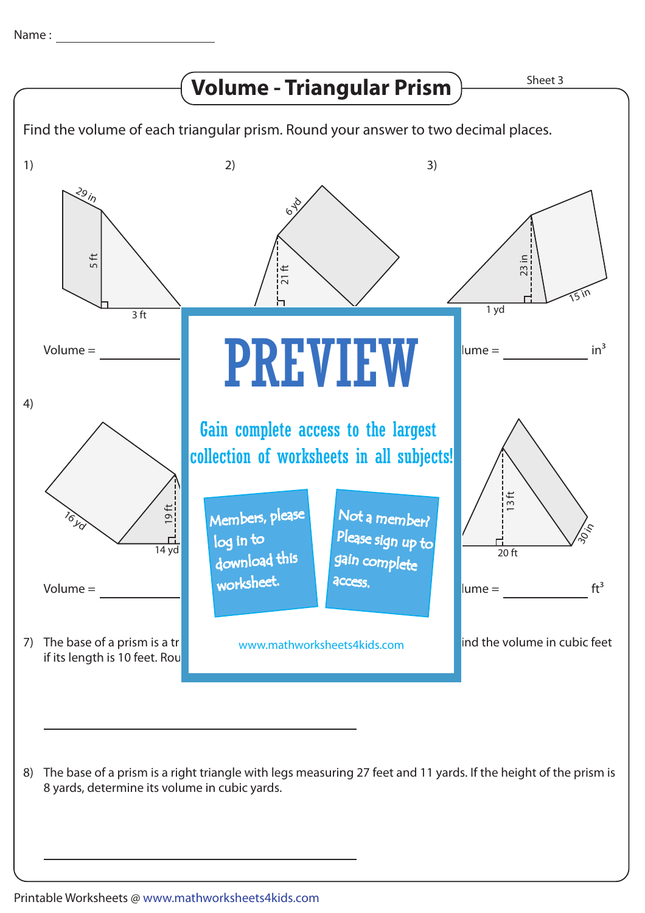